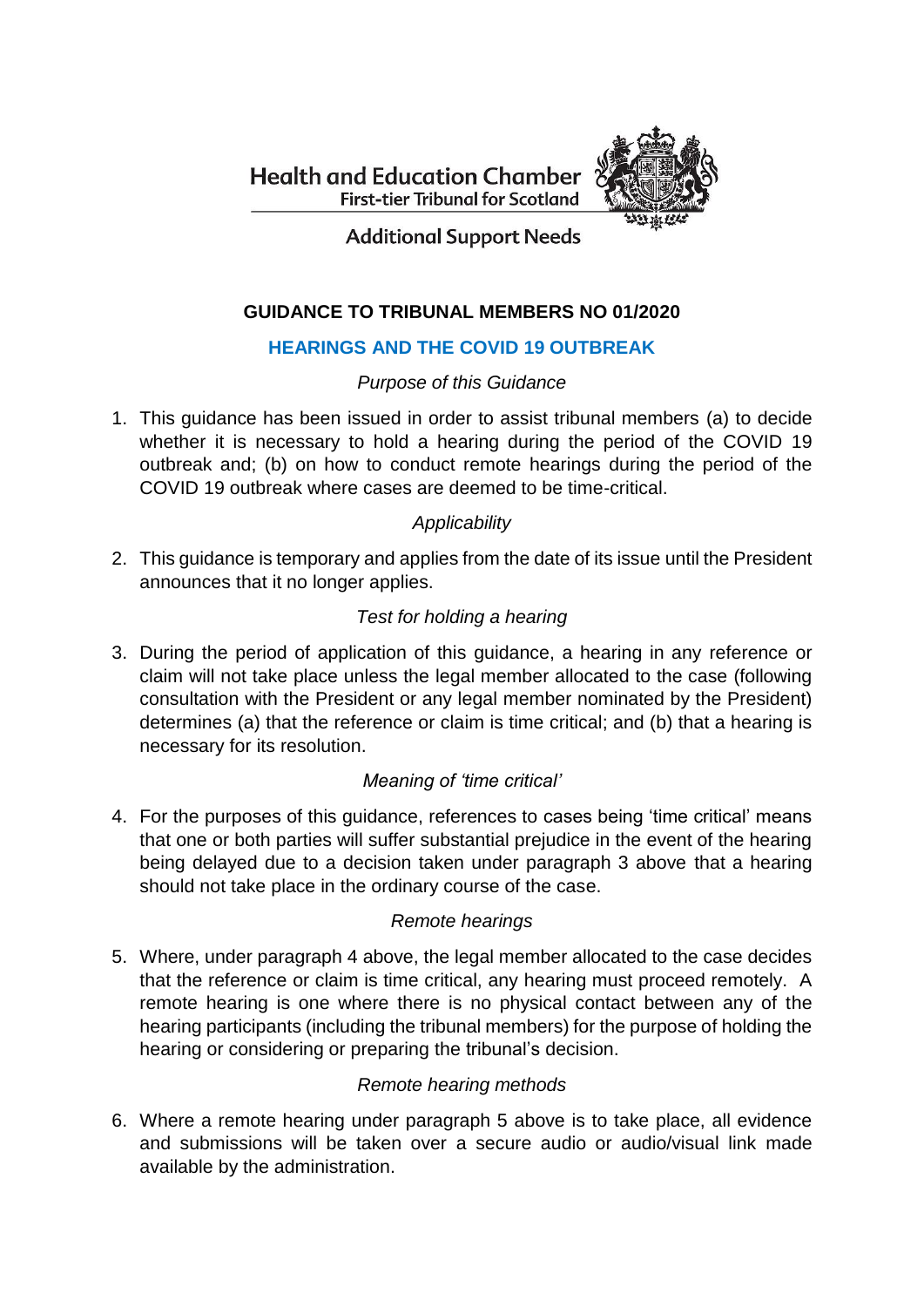**Health and Education Chamber First-tier Tribunal for Scotland** 



**Additional Support Needs** 

# **GUIDANCE TO TRIBUNAL MEMBERS NO 01/2020**

## **HEARINGS AND THE COVID 19 OUTBREAK**

## *Purpose of this Guidance*

1. This guidance has been issued in order to assist tribunal members (a) to decide whether it is necessary to hold a hearing during the period of the COVID 19 outbreak and; (b) on how to conduct remote hearings during the period of the COVID 19 outbreak where cases are deemed to be time-critical.

## *Applicability*

2. This guidance is temporary and applies from the date of its issue until the President announces that it no longer applies.

## *Test for holding a hearing*

3. During the period of application of this guidance, a hearing in any reference or claim will not take place unless the legal member allocated to the case (following consultation with the President or any legal member nominated by the President) determines (a) that the reference or claim is time critical; and (b) that a hearing is necessary for its resolution.

## *Meaning of 'time critical'*

4. For the purposes of this guidance, references to cases being 'time critical' means that one or both parties will suffer substantial prejudice in the event of the hearing being delayed due to a decision taken under paragraph 3 above that a hearing should not take place in the ordinary course of the case.

## *Remote hearings*

5. Where, under paragraph 4 above, the legal member allocated to the case decides that the reference or claim is time critical, any hearing must proceed remotely. A remote hearing is one where there is no physical contact between any of the hearing participants (including the tribunal members) for the purpose of holding the hearing or considering or preparing the tribunal's decision.

## *Remote hearing methods*

6. Where a remote hearing under paragraph 5 above is to take place, all evidence and submissions will be taken over a secure audio or audio/visual link made available by the administration.